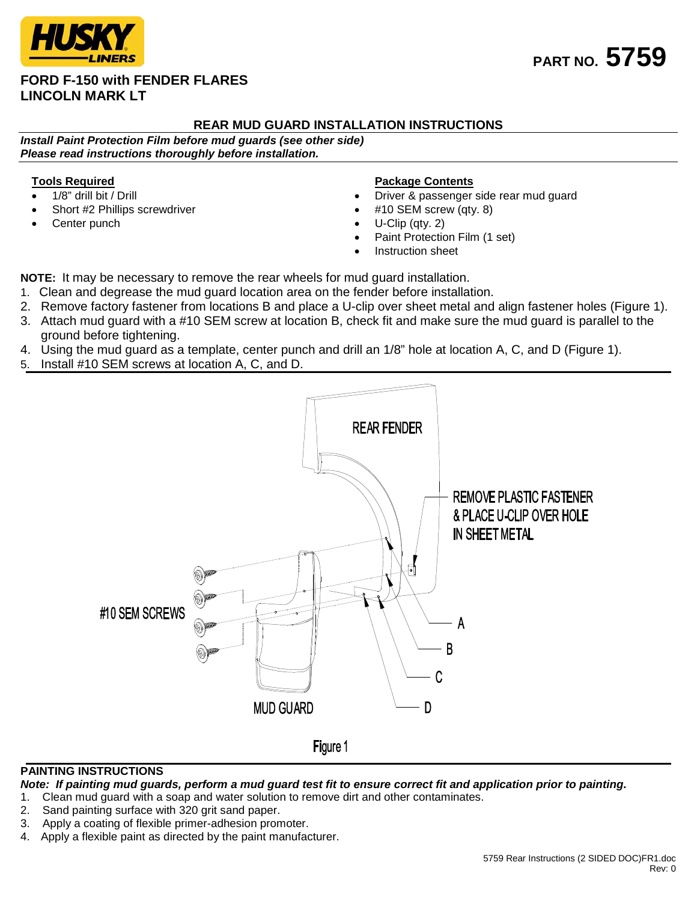# **FORD F-150 with FENDER FLARES LINCOLN MARK LT**

## **REAR MUD GUARD INSTALLATION INSTRUCTIONS**

*Install Paint Protection Film before mud guards (see other side) Please read instructions thoroughly before installation.*

## **Tools Required**

- 1/8" drill bit / Drill
- Short #2 Phillips screwdriver
- Center punch

#### **Package Contents**

- Driver & passenger side rear mud guard
- #10 SEM screw (qty. 8)
- U-Clip (qty. 2)
- Paint Protection Film (1 set)
- Instruction sheet

**NOTE:** It may be necessary to remove the rear wheels for mud guard installation.

- 1. Clean and degrease the mud guard location area on the fender before installation.
- 2. Remove factory fastener from locations B and place a U-clip over sheet metal and align fastener holes (Figure 1).
- 3. Attach mud guard with a #10 SEM screw at location B, check fit and make sure the mud guard is parallel to the ground before tightening.
- 4. Using the mud guard as a template, center punch and drill an 1/8" hole at location A, C, and D (Figure 1).
- 5. Install #10 SEM screws at location A, C, and D.



## **PAINTING INSTRUCTIONS**

*Note: If painting mud guards, perform a mud guard test fit to ensure correct fit and application prior to painting.*

- 1. Clean mud guard with a soap and water solution to remove dirt and other contaminates.
- 2. Sand painting surface with 320 grit sand paper.
- 3. Apply a coating of flexible primer-adhesion promoter.
- 4. Apply a flexible paint as directed by the paint manufacturer.